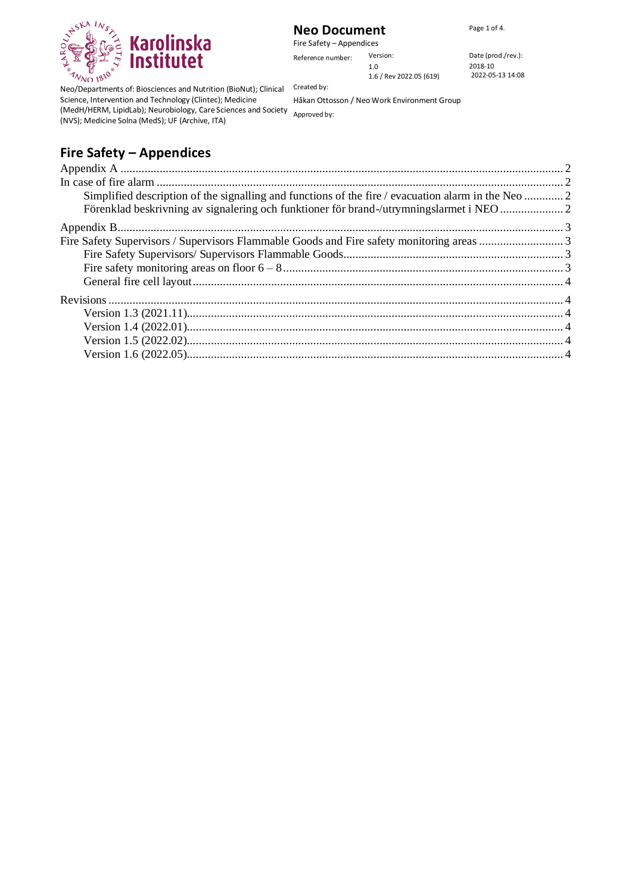

## **Neo Document** Page 1 of 4.

Fire Safety – Appendices Reference number: Version:  $\blacksquare$  Date (prod./rev.): 1.0

2018-10 2022-05-13 14:08

Neo/Departments of: Biosciences and Nutrition (BioNut); Clinical Created by: Science, Intervention and Technology (Clintec); Medicine (MedH/HERM, LipidLab); Neurobiology, Care Sciences and Society Approved by: (NVS); Medicine Solna (MedS); UF (Archive, ITA)

Håkan Ottosson / Neo Work Environment Group

1.6 / Rev 2022.05 (619)

# **Fire Safety – Appendices**

| Simplified description of the signalling and functions of the fire / evacuation alarm in the Neo  2 |  |
|-----------------------------------------------------------------------------------------------------|--|
| Förenklad beskrivning av signalering och funktioner för brand-/utrymningslarmet i NEO  2            |  |
|                                                                                                     |  |
|                                                                                                     |  |
|                                                                                                     |  |
|                                                                                                     |  |
|                                                                                                     |  |
|                                                                                                     |  |
|                                                                                                     |  |
|                                                                                                     |  |
|                                                                                                     |  |
|                                                                                                     |  |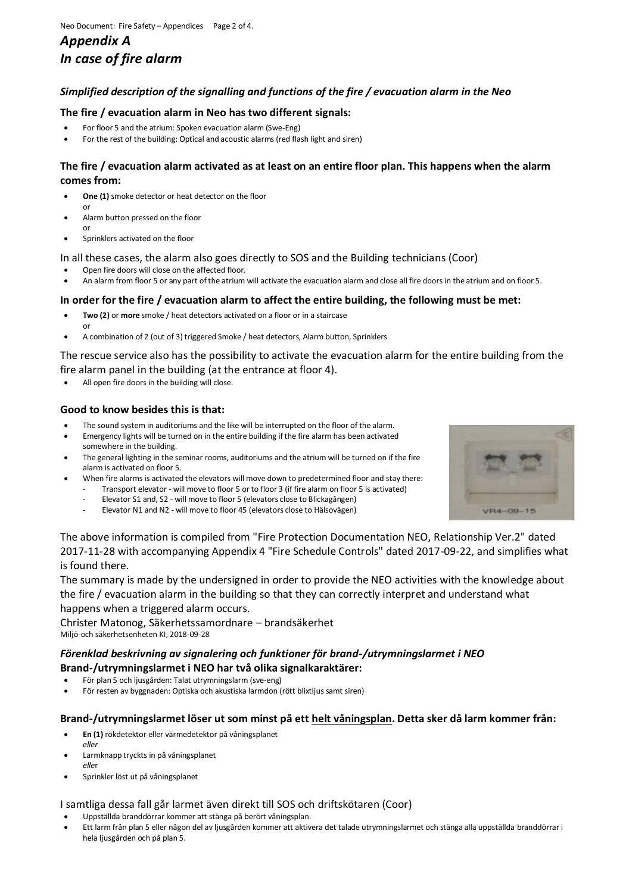## <span id="page-1-1"></span><span id="page-1-0"></span>*Appendix A In case of fire alarm*

#### <span id="page-1-2"></span>*Simplified description of the signalling and functions of the fire / evacuation alarm in the Neo*

#### **The fire / evacuation alarm in Neo has two different signals:**

- For floor 5 and the atrium: Spoken evacuation alarm (Swe-Eng)
- For the rest of the building: Optical and acoustic alarms (red flash light and siren)

#### **The fire / evacuation alarm activated as at least on an entire floor plan. This happens when the alarm comes from:**

- **One (1)** smoke detector or heat detector on the floor or
- Alarm button pressed on the floor
- or • Sprinklers activated on the floor
- In all these cases, the alarm also goes directly to SOS and the Building technicians (Coor)
- Open fire doors will close on the affected floor.
- An alarm from floor 5 or any part of the atrium will activate the evacuation alarm and close all fire doors in the atrium and on floor 5.

#### **In order for the fire / evacuation alarm to affect the entire building, the following must be met:**

- **Two (2)** or **more** smoke / heat detectors activated on a floor or in a staircase or
- A combination of 2 (out of 3) triggered Smoke / heat detectors, Alarm button, Sprinklers

The rescue service also has the possibility to activate the evacuation alarm for the entire building from the fire alarm panel in the building (at the entrance at floor 4).

All open fire doors in the building will close.

#### **Good to know besides this is that:**

- The sound system in auditoriums and the like will be interrupted on the floor of the alarm.
- Emergency lights will be turned on in the entire building if the fire alarm has been activated somewhere in the building.
- The general lighting in the seminar rooms, auditoriums and the atrium will be turned on if the fire alarm is activated on floor 5.
	- When fire alarms is activated the elevators will move down to predetermined floor and stay there: - Transport elevator - will move to floor 5 or to floor 3 (if fire alarm on floor 5 is activated)
		- Elevator S1 and, S2 will move to floor 5 (elevators close to Blickagången)
		- Elevator N1 and N2 will move to floor 45 (elevators close to Hälsovägen)



The above information is compiled from "Fire Protection Documentation NEO, Relationship Ver.2" dated 2017-11-28 with accompanying Appendix 4 "Fire Schedule Controls" dated 2017-09-22, and simplifies what is found there.

The summary is made by the undersigned in order to provide the NEO activities with the knowledge about the fire / evacuation alarm in the building so that they can correctly interpret and understand what happens when a triggered alarm occurs.

Christer Matonog, Säkerhetssamordnare – brandsäkerhet Miljö-och säkerhetsenheten KI, 2018-09-28

#### <span id="page-1-3"></span>*Förenklad beskrivning av signalering och funktioner för brand-/utrymningslarmet i NEO* **Brand-/utrymningslarmet i NEO har två olika signalkaraktärer:**

- För plan 5 och ljusgården: Talat utrymningslarm (sve-eng)
- För resten av byggnaden: Optiska och akustiska larmdon (rött blixtljus samt siren)

#### **Brand-/utrymningslarmet löser ut som minst på ett helt våningsplan. Detta sker då larm kommer från:**

- **En (1)** rökdetektor eller värmedetektor på våningsplanet *eller*
- Larmknapp tryckts in på våningsplanet *elle*r
- Sprinkler löst ut på våningsplanet

#### I samtliga dessa fall går larmet även direkt till SOS och driftskötaren (Coor)

- Uppställda branddörrar kommer att stänga på berört våningsplan.
- Ett larm från plan 5 eller någon del av ljusgården kommer att aktivera det talade utrymningslarmet och stänga alla uppställda branddörrar i hela ljusgården och på plan 5.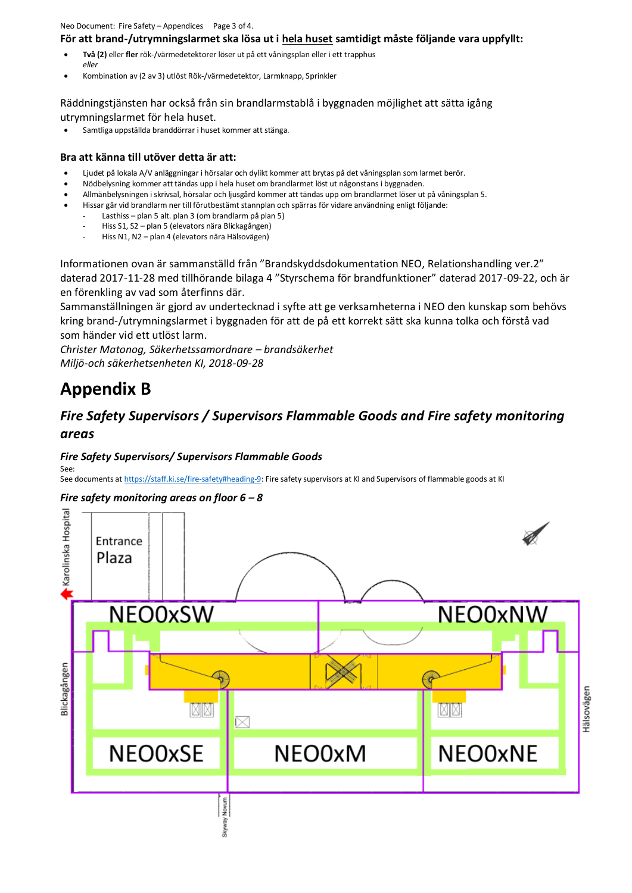Neo Document: Fire Safety – Appendices Page 3 of 4.

#### **För att brand-/utrymningslarmet ska lösa ut i hela huset samtidigt måste följande vara uppfyllt:**

- **Två (2)** eller **fler** rök-/värmedetektorer löser ut på ett våningsplan eller i ett trapphus *eller*
- Kombination av (2 av 3) utlöst Rök-/värmedetektor, Larmknapp, Sprinkler

Räddningstjänsten har också från sin brandlarmstablå i byggnaden möjlighet att sätta igång utrymningslarmet för hela huset.

• Samtliga uppställda branddörrar i huset kommer att stänga.

#### **Bra att känna till utöver detta är att:**

- Ljudet på lokala A/V anläggningar i hörsalar och dylikt kommer att brytas på det våningsplan som larmet berör.
- Nödbelysning kommer att tändas upp i hela huset om brandlarmet löst ut någonstans i byggnaden.
- Allmänbelysningen i skrivsal, hörsalar och ljusgård kommer att tändas upp om brandlarmet löser ut på våningsplan 5.
- Hissar går vid brandlarm ner till förutbestämt stannplan och spärras för vidare användning enligt följande:
	- Lasthiss plan 5 alt. plan 3 (om brandlarm på plan 5)
	- Hiss S1, S2 plan 5 (elevators nära Blickagången)
	- Hiss N1, N2 plan 4 (elevators nära Hälsovägen)

Informationen ovan är sammanställd från "Brandskyddsdokumentation NEO, Relationshandling ver.2" daterad 2017-11-28 med tillhörande bilaga 4 "Styrschema för brandfunktioner" daterad 2017-09-22, och är en förenkling av vad som återfinns där.

Sammanställningen är gjord av undertecknad i syfte att ge verksamheterna i NEO den kunskap som behövs kring brand-/utrymningslarmet i byggnaden för att de på ett korrekt sätt ska kunna tolka och förstå vad som händer vid ett utlöst larm.

*Christer Matonog, Säkerhetssamordnare – brandsäkerhet Miljö-och säkerhetsenheten KI, 2018-09-28*

# <span id="page-2-0"></span>**Appendix B**

See:

## <span id="page-2-1"></span>*Fire Safety Supervisors / Supervisors Flammable Goods and Fire safety monitoring areas*

#### <span id="page-2-2"></span>*Fire Safety Supervisors/ Supervisors Flammable Goods*

See documents a[t https://staff.ki.se/fire-safety#heading-9:](https://staff.ki.se/fire-safety#heading-9) Fire safety supervisors at KI and Supervisors of flammable goods at KI

#### <span id="page-2-3"></span>*Fire safety monitoring areas on floor 6 – 8*